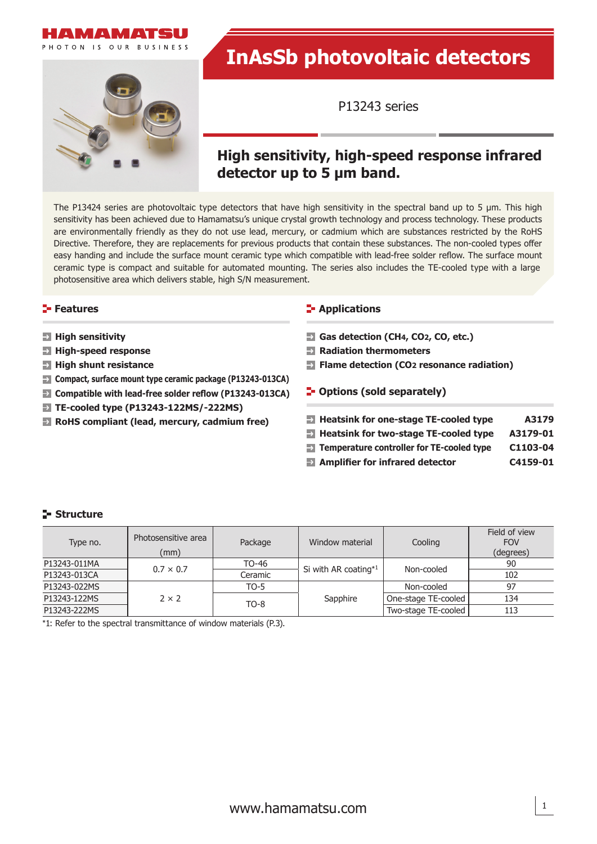



# **InAsSb photovoltaic detectors**

P13243 series

# **High sensitivity, high-speed response infrared detector up to 5 μm band.**

The P13424 series are photovoltaic type detectors that have high sensitivity in the spectral band up to 5 μm. This high sensitivity has been achieved due to Hamamatsu's unique crystal growth technology and process technology. These products are environmentally friendly as they do not use lead, mercury, or cadmium which are substances restricted by the RoHS Directive. Therefore, they are replacements for previous products that contain these substances. The non-cooled types offer easy handing and include the surface mount ceramic type which compatible with lead-free solder reflow. The surface mount ceramic type is compact and suitable for automated mounting. The series also includes the TE-cooled type with a large photosensitive area which delivers stable, high S/N measurement.

#### **Features**

- **High sensitivity**
- **High-speed response**
- **High shunt resistance**
- **Compact, surface mount type ceramic package (P13243-013CA)**
- **EX** Compatible with lead-free solder reflow (P13243-013CA)
- **TE-cooled type (P13243-122MS/-222MS)**
- **RoHS compliant (lead, mercury, cadmium free)**

#### **E-** Applications

- **Gas detection (CH4, CO2, CO, etc.)**
- **Radiation thermometers**
- **Figure 12** Flame detection (CO<sub>2</sub> resonance radiation)
- **F**-Options (sold separately)

| $\rightarrow$ Heatsink for one-stage TE-cooled type     | A3179    |
|---------------------------------------------------------|----------|
| $\Rightarrow$ Heatsink for two-stage TE-cooled type     | A3179-01 |
| $\Rightarrow$ Temperature controller for TE-cooled type | C1103-04 |

**Amplifier for infrared detector C4159-01** 

#### **Structure**

| Type no.     | Photosensitive area<br>(mm) | Package | Window material      | Cooling             | Field of view<br><b>FOV</b><br>(degrees) |
|--------------|-----------------------------|---------|----------------------|---------------------|------------------------------------------|
| P13243-011MA | $0.7 \times 0.7$            | TO-46   | Si with AR coating*1 | Non-cooled          | 90                                       |
| P13243-013CA |                             | Ceramic |                      |                     | 102                                      |
| P13243-022MS |                             | $TO-5$  |                      | Non-cooled          | 97                                       |
| P13243-122MS | $2 \times 2$                | $TO-8$  | Sapphire             | One-stage TE-cooled | 134                                      |
| P13243-222MS |                             |         |                      | Two-stage TE-cooled | 113                                      |

\*1: Refer to the spectral transmittance of window materials (P.3).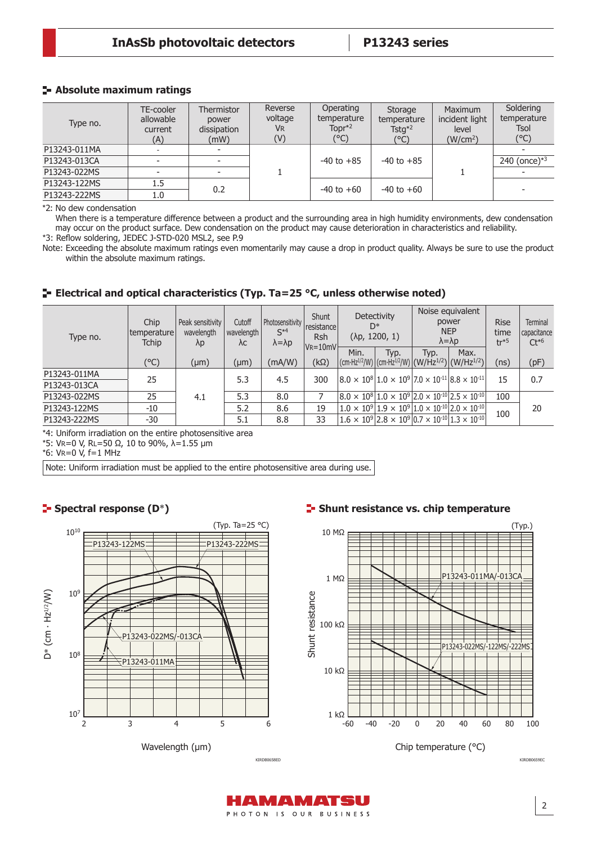#### **Absolute maximum ratings**

| Type no.     | TE-cooler<br>allowable<br>current<br>(A) | Thermistor<br>power<br>dissipation<br>(mW) | Reverse<br>voltage<br><b>VR</b><br>(V) | Operating<br>temperature<br>Topr $*^2$<br>(°C) | Storage<br>temperature<br>$T_{\rm$ STG}^{*2}<br>(°C) | <b>Maximum</b><br>incident light<br>level<br>(W/cm <sup>2</sup> ) | Soldering<br>temperature<br>Tsol<br>$(^{\circ}C)$ |
|--------------|------------------------------------------|--------------------------------------------|----------------------------------------|------------------------------------------------|------------------------------------------------------|-------------------------------------------------------------------|---------------------------------------------------|
| P13243-011MA |                                          |                                            |                                        |                                                |                                                      |                                                                   |                                                   |
| P13243-013CA |                                          |                                            |                                        | $-40$ to $+85$                                 | $-40$ to $+85$                                       |                                                                   | 240 (once) $*3$                                   |
| P13243-022MS |                                          |                                            |                                        |                                                |                                                      |                                                                   |                                                   |
| P13243-122MS | 1.5                                      | 0.2                                        |                                        | $-40$ to $+60$                                 | $-40$ to $+60$                                       |                                                                   |                                                   |
| P13243-222MS | 1.0                                      |                                            |                                        |                                                |                                                      |                                                                   |                                                   |

\*2: No dew condensation

When there is a temperature difference between a product and the surrounding area in high humidity environments, dew condensation may occur on the product surface. Dew condensation on the product may cause deterioration in characteristics and reliability.

\*3: Reflow soldering, JEDEC J-STD-020 MSL2, see P.9

Note: Exceeding the absolute maximum ratings even momentarily may cause a drop in product quality. Always be sure to use the product within the absolute maximum ratings.

# **E** Electrical and optical characteristics (Typ. Ta=25 °C, unless otherwise noted)

| Type no.     | Chip<br>I temperature l<br><b>Tchip</b> | Peak sensitivity<br>wavelength<br>$\lambda p$ | Cutoff<br>wavelength<br>λc | Photosensitivity<br>$S^{\star 4}$<br>$\lambda = \lambda p$ | <b>Shunt</b><br>resistance<br><b>Rsh</b><br>$V = 10mV$ | D*   | <b>Detectivity</b><br>$(\lambda p, 1200, 1)$ |      | Noise equivalent<br>power<br><b>NEP</b><br>$\lambda = \lambda p$                               | <b>Rise</b><br>time<br>$tr*5$ | <b>Terminal</b><br>capacitance<br>$Ct^{*6}$ |
|--------------|-----------------------------------------|-----------------------------------------------|----------------------------|------------------------------------------------------------|--------------------------------------------------------|------|----------------------------------------------|------|------------------------------------------------------------------------------------------------|-------------------------------|---------------------------------------------|
|              |                                         |                                               |                            |                                                            |                                                        | Min. | Typ.                                         | Typ. | Max.                                                                                           |                               |                                             |
|              | (°C)                                    | $(\mu m)$                                     | $(\mu m)$                  | (mA/W)                                                     | $(k\Omega)$                                            |      |                                              |      | $ (cm\cdot Hz^{1/2}/W) $ (cm $\cdot Hz^{1/2}/W $ (W/Hz <sup>1/2</sup> ) (W/Hz <sup>1/2</sup> ) | (ns)                          | (pF)                                        |
| P13243-011MA | 25                                      |                                               | 5.3                        | 4.5                                                        | 300                                                    |      |                                              |      | $ 8.0 \times 10^8 1.0 \times 10^9 7.0 \times 10^{11} 8.8 \times 10^{11} $                      | 15                            | 0.7                                         |
| P13243-013CA |                                         |                                               |                            |                                                            |                                                        |      |                                              |      |                                                                                                |                               |                                             |
| P13243-022MS | 25                                      | 4.1                                           | 5.3                        | 8.0                                                        |                                                        |      |                                              |      | $ 8.0 \times 10^8 1.0 \times 10^9 2.0 \times 10^{10} 2.5 \times 10^{10} $                      | 100                           |                                             |
| P13243-122MS | $-10$                                   |                                               | 5.2                        | 8.6                                                        | 19                                                     |      |                                              |      | $1.0 \times 10^{9}   1.9 \times 10^{9}   1.0 \times 10^{10}   2.0 \times 10^{10}  $            | 100                           | 20                                          |
| P13243-222MS | -30                                     |                                               | 5.1                        | 8.8                                                        | 33                                                     |      |                                              |      | $ 1.6 \times 10^9 2.8 \times 10^9 0.7 \times 10^{10} 1.3 \times 10^{10} $                      |                               |                                             |

\*4: Uniform irradiation on the entire photosensitive area

\*5: VR=0 V, RL=50 Ω, 10 to 90%, λ=1.55 μm

\*6: VR=0 V, f=1 MHz

Note: Uniform irradiation must be applied to the entire photosensitive area during use.



# **Spectral response (D**\***)**

### **F** Shunt resistance vs. chip temperature



AMAMATSU PHOTON IS OUR BUSINESS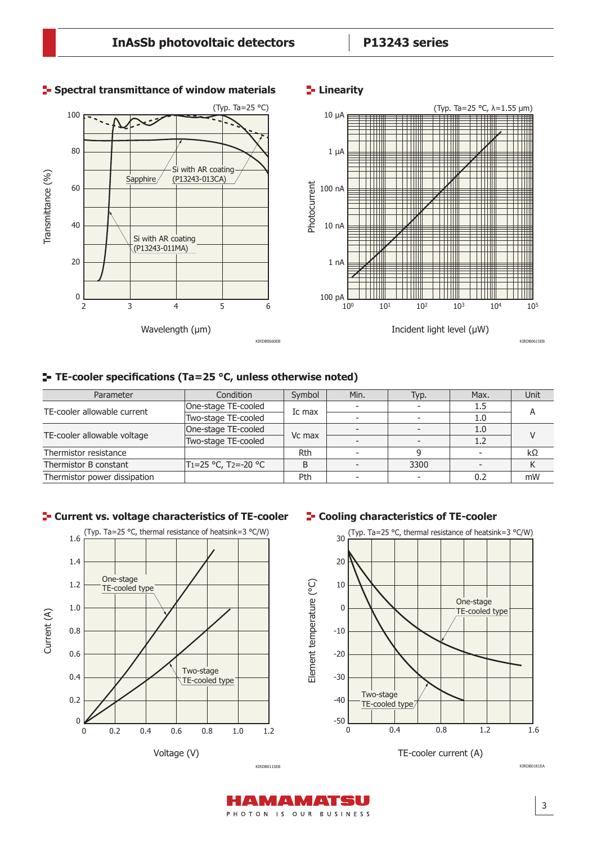

#### **F** Spectral transmittance of window materials

#### **Linearity**

#### **TE-cooler specifications (Ta=25 °C, unless otherwise noted)**

| Parameter                    | Condition           | Symbol | Min. | Typ. | Max.    | Unit |  |
|------------------------------|---------------------|--------|------|------|---------|------|--|
| TE-cooler allowable current  | One-stage TE-cooled | Ic max |      |      | $1.5\,$ | А    |  |
|                              | Two-stage TE-cooled |        |      |      | 1.0     |      |  |
| TE-cooler allowable voltage  | One-stage TE-cooled | Vc max |      |      | 1.0     |      |  |
|                              | Two-stage TE-cooled |        |      |      | 1.2     |      |  |
| Thermistor resistance        |                     | Rth    |      |      |         | kΩ   |  |
| Thermistor B constant        | T1=25 °C, T2=-20 °C | B      |      | 3300 |         |      |  |
| Thermistor power dissipation |                     | Pth    |      |      | 0.2     | mW   |  |

#### **F** Current vs. voltage characteristics of TE-cooler



#### **F** Cooling characteristics of TE-cooler



KIRDB0181EA

PHOTON IS OUR BUSINESS

AMAMATSU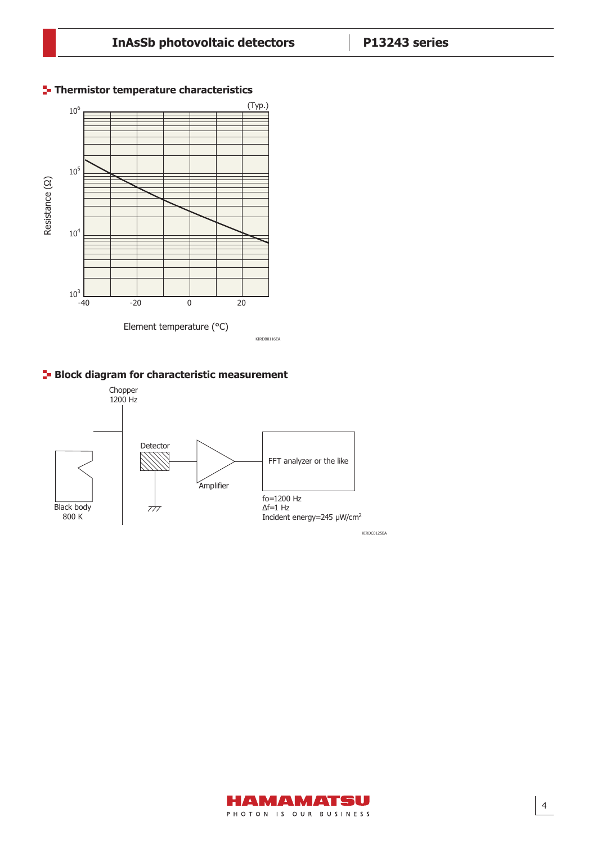

## **Thermistor temperature characteristics**





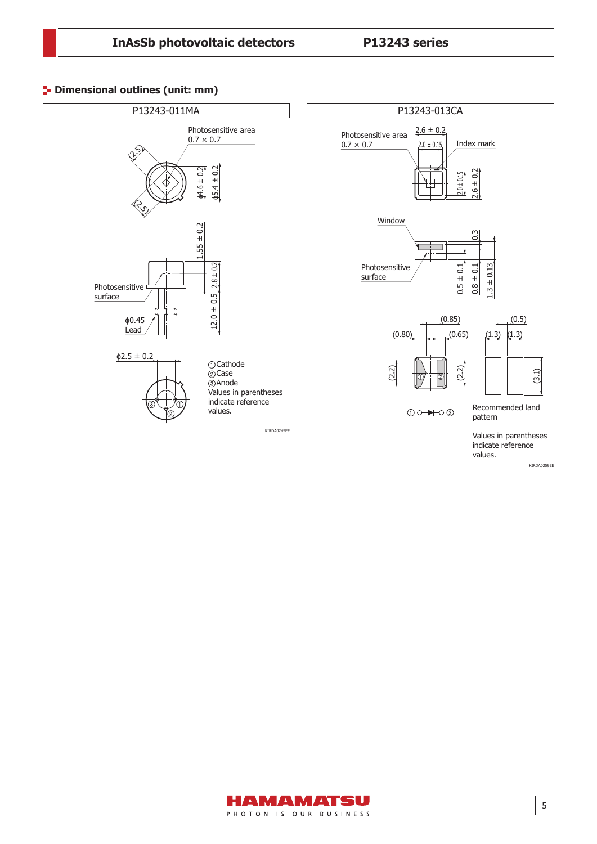#### **<sup>1</sup>** Dimensional outlines (unit: mm)



indicate reference values.

KIRDA0259EE

(3.1)

 $(0.5)$ 

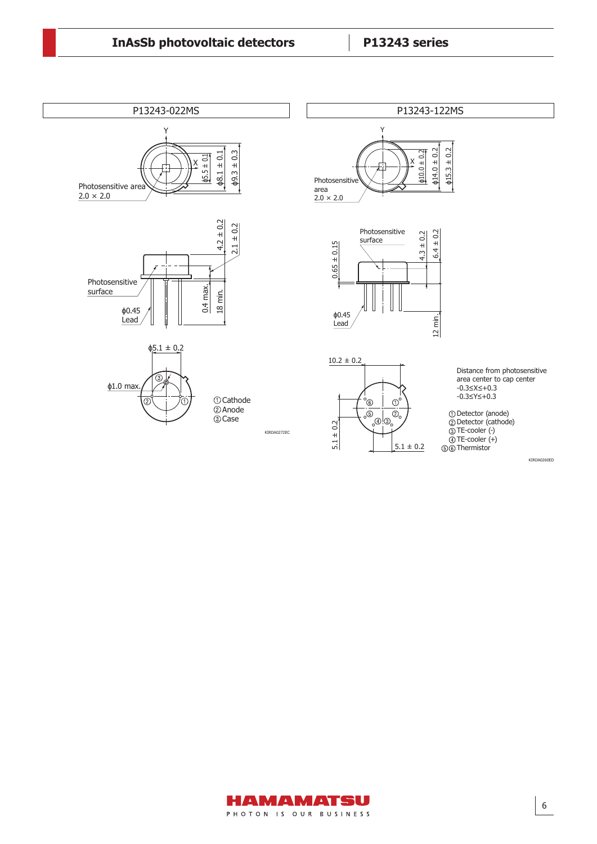

KIRDA0260ED

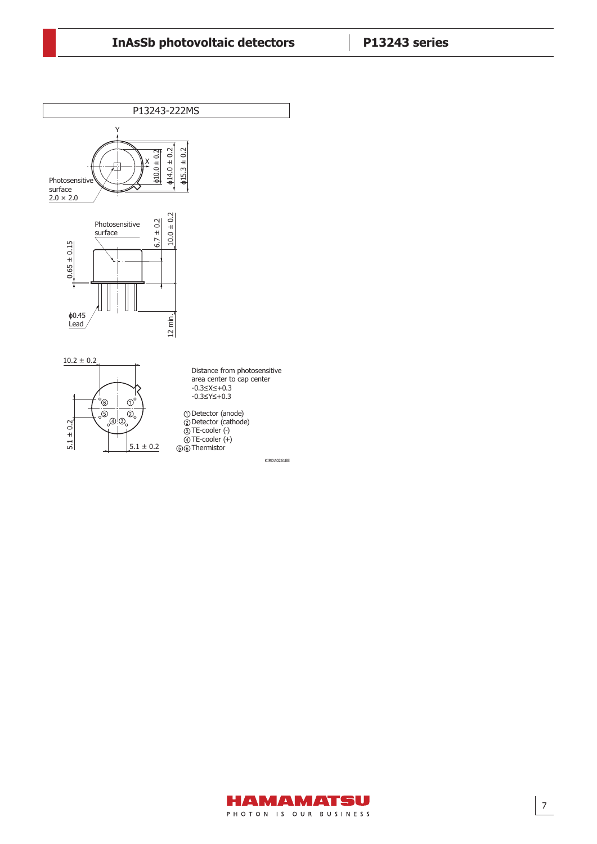

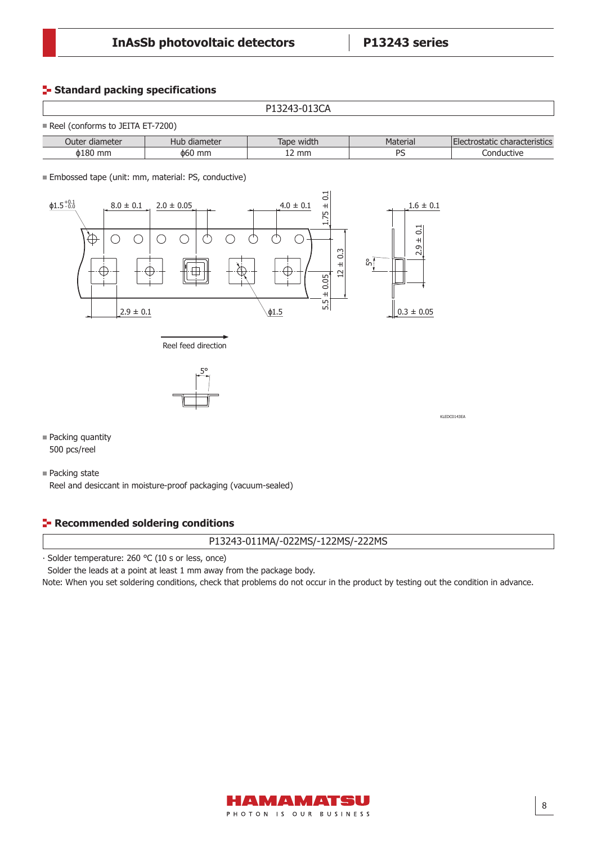#### **Standard packing specifications**

 $\Gamma$ 

|                                                  |              | P13243-013CA |          |                               |
|--------------------------------------------------|--------------|--------------|----------|-------------------------------|
| $\blacksquare$ Reel (conforms to JEITA ET-7200). |              |              |          |                               |
| Outer diameter                                   | Hub diameter | Tape width   | Material | Electrostatic characteristics |
| $\phi$ 180 mm                                    | $\phi$ 60 mm | L2 mm        | PS       | Conductive                    |

**Embossed tape (unit: mm, material: PS, conductive)** 





KLEDC0143EA

- Packing quantity 500 pcs/reel
- Packing state

Reel and desiccant in moisture-proof packaging (vacuum-sealed)

#### **Recommended soldering conditions**

#### P13243-011MA/-022MS/-122MS/-222MS

⸱ Solder temperature: 260 ℃ (10 s or less, once)

Solder the leads at a point at least 1 mm away from the package body.

Note: When you set soldering conditions, check that problems do not occur in the product by testing out the condition in advance.

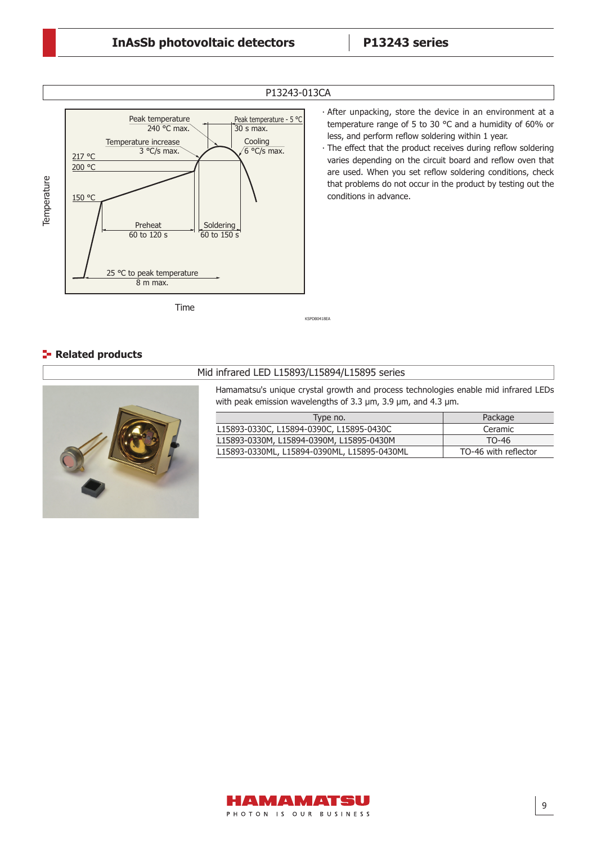

Time

#### P13243-013CA

∙ After unpacking, store the device in an environment at a temperature range of 5 to 30 °C and a humidity of 60% or less, and perform reflow soldering within 1 year.

• The effect that the product receives during reflow soldering varies depending on the circuit board and reflow oven that are used. When you set reflow soldering conditions, check that problems do not occur in the product by testing out the conditions in advance.

### **Related products**



#### Mid infrared LED L15893/L15894/L15895 series

KSPDB0418EA

Hamamatsu's unique crystal growth and process technologies enable mid infrared LEDs with peak emission wavelengths of 3.3 μm, 3.9 μm, and 4.3 μm.

| Type no.                                    | Package              |
|---------------------------------------------|----------------------|
| L15893-0330C, L15894-0390C, L15895-0430C    | Ceramic              |
| L15893-0330M, L15894-0390M, L15895-0430M    | TO-46                |
| L15893-0330ML, L15894-0390ML, L15895-0430ML | TO-46 with reflector |